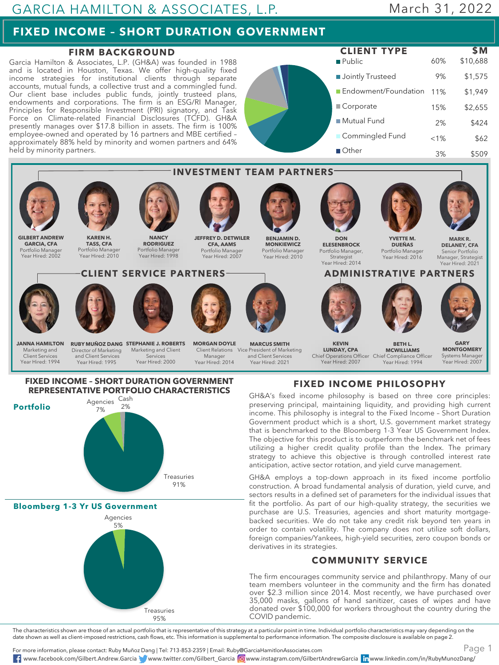## **FIXED INCOME – SHORT DURATION GOVERNMENT**

## **FIRM BACKGROUND**

Garcia Hamilton & Associates, L.P. (GH&A) was founded in 1988 and is located in Houston, Texas. We offer high-quality fixed income strategies for institutional clients through separate accounts, mutual funds, a collective trust and a commingled fund. Our client base includes public funds, jointly trusteed plans, endowments and corporations. The firm is an ESG/RI Manager, Principles for Responsible Investment (PRI) signatory, and Task Force on Climate-related Financial Disclosures (TCFD). GH&A presently manages over \$17.8 billion in assets. The firm is 100% employee-owned and operated by 16 partners and MBE certified – approximately 88% held by minority and women partners and 64% held by minority partners.

Public **Jointly Trusteed** Endowment/Foundation 11% Corporate ■ Mutual Fund **Commingled Fund** Other 60% \$10,688 9% \$1,575 \$1,949 15% \$2,655 2% \$424  $< 1\%$  \$62 3% \$509 **CLIENT TYPE \$M**



For more information, please contact: Ruby Muñoz Dang | Tel: 713-853-2359 | Email: Ruby@GarciaHamitlonAssociates.com

www.facebook.com/Gilbert.Andrew.Garcia www.twitter.com/Gilbert\_Garcia www.instagram.com/GilbertAndrewGarcia www.linkedin.com/in/RubyMunozDang/

Page 1